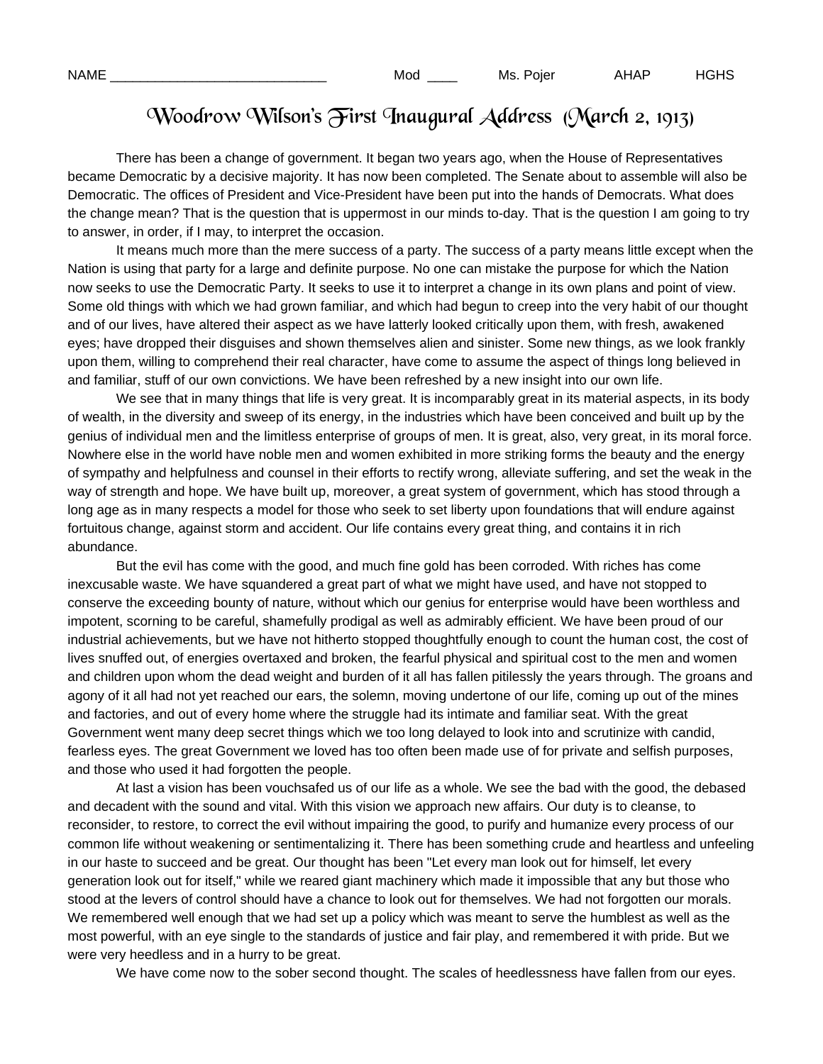## Woodrow Wilson's First Inaugural Address (March 2, 1913)

There has been a change of government. It began two years ago, when the House of Representatives became Democratic by a decisive majority. It has now been completed. The Senate about to assemble will also be Democratic. The offices of President and Vice-President have been put into the hands of Democrats. What does the change mean? That is the question that is uppermost in our minds to-day. That is the question I am going to try to answer, in order, if I may, to interpret the occasion.

 It means much more than the mere success of a party. The success of a party means little except when the Nation is using that party for a large and definite purpose. No one can mistake the purpose for which the Nation now seeks to use the Democratic Party. It seeks to use it to interpret a change in its own plans and point of view. Some old things with which we had grown familiar, and which had begun to creep into the very habit of our thought and of our lives, have altered their aspect as we have latterly looked critically upon them, with fresh, awakened eyes; have dropped their disguises and shown themselves alien and sinister. Some new things, as we look frankly upon them, willing to comprehend their real character, have come to assume the aspect of things long believed in and familiar, stuff of our own convictions. We have been refreshed by a new insight into our own life.

We see that in many things that life is very great. It is incomparably great in its material aspects, in its body of wealth, in the diversity and sweep of its energy, in the industries which have been conceived and built up by the genius of individual men and the limitless enterprise of groups of men. It is great, also, very great, in its moral force. Nowhere else in the world have noble men and women exhibited in more striking forms the beauty and the energy of sympathy and helpfulness and counsel in their efforts to rectify wrong, alleviate suffering, and set the weak in the way of strength and hope. We have built up, moreover, a great system of government, which has stood through a long age as in many respects a model for those who seek to set liberty upon foundations that will endure against fortuitous change, against storm and accident. Our life contains every great thing, and contains it in rich abundance.

 But the evil has come with the good, and much fine gold has been corroded. With riches has come inexcusable waste. We have squandered a great part of what we might have used, and have not stopped to conserve the exceeding bounty of nature, without which our genius for enterprise would have been worthless and impotent, scorning to be careful, shamefully prodigal as well as admirably efficient. We have been proud of our industrial achievements, but we have not hitherto stopped thoughtfully enough to count the human cost, the cost of lives snuffed out, of energies overtaxed and broken, the fearful physical and spiritual cost to the men and women and children upon whom the dead weight and burden of it all has fallen pitilessly the years through. The groans and agony of it all had not yet reached our ears, the solemn, moving undertone of our life, coming up out of the mines and factories, and out of every home where the struggle had its intimate and familiar seat. With the great Government went many deep secret things which we too long delayed to look into and scrutinize with candid, fearless eyes. The great Government we loved has too often been made use of for private and selfish purposes, and those who used it had forgotten the people.

 At last a vision has been vouchsafed us of our life as a whole. We see the bad with the good, the debased and decadent with the sound and vital. With this vision we approach new affairs. Our duty is to cleanse, to reconsider, to restore, to correct the evil without impairing the good, to purify and humanize every process of our common life without weakening or sentimentalizing it. There has been something crude and heartless and unfeeling in our haste to succeed and be great. Our thought has been "Let every man look out for himself, let every generation look out for itself," while we reared giant machinery which made it impossible that any but those who stood at the levers of control should have a chance to look out for themselves. We had not forgotten our morals. We remembered well enough that we had set up a policy which was meant to serve the humblest as well as the most powerful, with an eye single to the standards of justice and fair play, and remembered it with pride. But we were very heedless and in a hurry to be great.

We have come now to the sober second thought. The scales of heedlessness have fallen from our eyes.